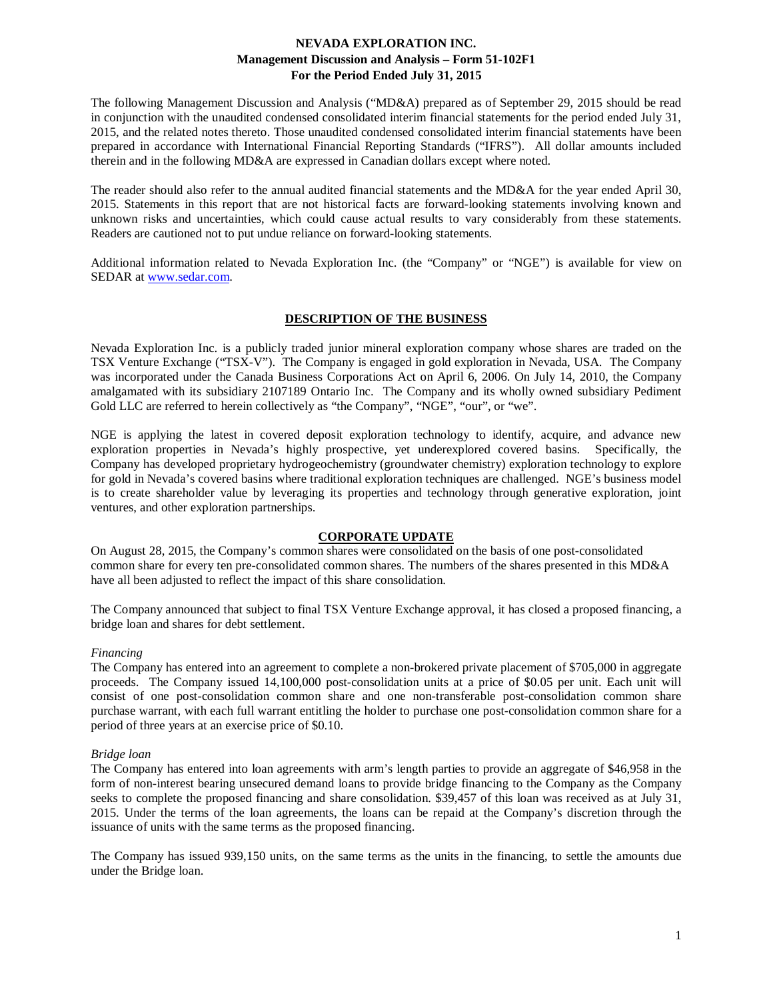The following Management Discussion and Analysis ("MD&A) prepared as of September 29, 2015 should be read in conjunction with the unaudited condensed consolidated interim financial statements for the period ended July 31, 2015, and the related notes thereto. Those unaudited condensed consolidated interim financial statements have been prepared in accordance with International Financial Reporting Standards ("IFRS"). All dollar amounts included therein and in the following MD&A are expressed in Canadian dollars except where noted.

The reader should also refer to the annual audited financial statements and the MD&A for the year ended April 30, 2015. Statements in this report that are not historical facts are forward-looking statements involving known and unknown risks and uncertainties, which could cause actual results to vary considerably from these statements. Readers are cautioned not to put undue reliance on forward-looking statements.

Additional information related to Nevada Exploration Inc. (the "Company" or "NGE") is available for view on SEDAR at [www.sedar.com.](http://www.sedar.com/)

# **DESCRIPTION OF THE BUSINESS**

Nevada Exploration Inc. is a publicly traded junior mineral exploration company whose shares are traded on the TSX Venture Exchange ("TSX-V"). The Company is engaged in gold exploration in Nevada, USA. The Company was incorporated under the Canada Business Corporations Act on April 6, 2006. On July 14, 2010, the Company amalgamated with its subsidiary 2107189 Ontario Inc. The Company and its wholly owned subsidiary Pediment Gold LLC are referred to herein collectively as "the Company", "NGE", "our", or "we".

NGE is applying the latest in covered deposit exploration technology to identify, acquire, and advance new exploration properties in Nevada's highly prospective, yet underexplored covered basins. Specifically, the Company has developed proprietary hydrogeochemistry (groundwater chemistry) exploration technology to explore for gold in Nevada's covered basins where traditional exploration techniques are challenged. NGE's business model is to create shareholder value by leveraging its properties and technology through generative exploration, joint ventures, and other exploration partnerships.

#### **CORPORATE UPDATE**

On August 28, 2015, the Company's common shares were consolidated on the basis of one post-consolidated common share for every ten pre-consolidated common shares. The numbers of the shares presented in this MD&A have all been adjusted to reflect the impact of this share consolidation.

The Company announced that subject to final TSX Venture Exchange approval, it has closed a proposed financing, a bridge loan and shares for debt settlement.

## *Financing*

The Company has entered into an agreement to complete a non-brokered private placement of \$705,000 in aggregate proceeds. The Company issued 14,100,000 post-consolidation units at a price of \$0.05 per unit. Each unit will consist of one post-consolidation common share and one non-transferable post-consolidation common share purchase warrant, with each full warrant entitling the holder to purchase one post-consolidation common share for a period of three years at an exercise price of \$0.10.

#### *Bridge loan*

The Company has entered into loan agreements with arm's length parties to provide an aggregate of \$46,958 in the form of non-interest bearing unsecured demand loans to provide bridge financing to the Company as the Company seeks to complete the proposed financing and share consolidation. \$39,457 of this loan was received as at July 31, 2015. Under the terms of the loan agreements, the loans can be repaid at the Company's discretion through the issuance of units with the same terms as the proposed financing.

The Company has issued 939,150 units, on the same terms as the units in the financing, to settle the amounts due under the Bridge loan.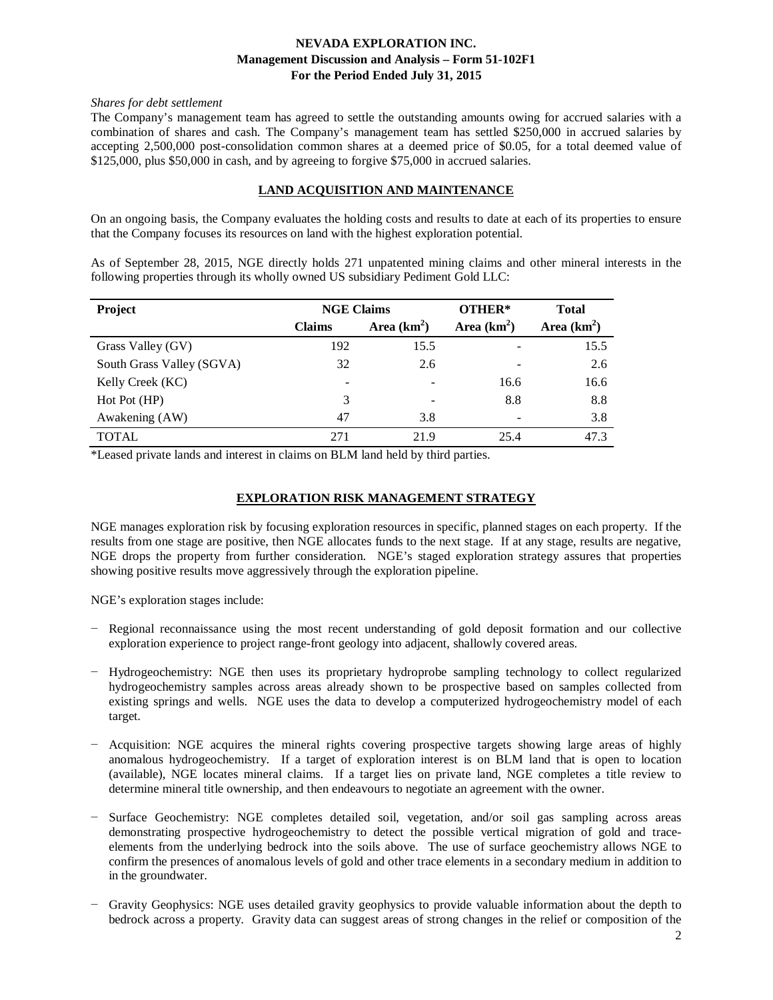#### *Shares for debt settlement*

The Company's management team has agreed to settle the outstanding amounts owing for accrued salaries with a combination of shares and cash. The Company's management team has settled \$250,000 in accrued salaries by accepting 2,500,000 post-consolidation common shares at a deemed price of \$0.05, for a total deemed value of \$125,000, plus \$50,000 in cash, and by agreeing to forgive \$75,000 in accrued salaries.

# **LAND ACQUISITION AND MAINTENANCE**

On an ongoing basis, the Company evaluates the holding costs and results to date at each of its properties to ensure that the Company focuses its resources on land with the highest exploration potential.

As of September 28, 2015, NGE directly holds 271 unpatented mining claims and other mineral interests in the following properties through its wholly owned US subsidiary Pediment Gold LLC:

| Project                   | <b>NGE Claims</b>        |                          | OTHER* | <b>Total</b>  |
|---------------------------|--------------------------|--------------------------|--------|---------------|
|                           | <b>Claims</b>            | Area $(km^2)$            |        | Area $(km^2)$ |
| Grass Valley (GV)         | 192                      | 15.5                     |        | 15.5          |
| South Grass Valley (SGVA) | 32                       | 2.6                      |        | 2.6           |
| Kelly Creek (KC)          | $\overline{\phantom{0}}$ | $\overline{\phantom{a}}$ | 16.6   | 16.6          |
| Hot Pot (HP)              | 3                        |                          | 8.8    | 8.8           |
| Awakening (AW)            | 47                       | 3.8                      |        | 3.8           |
| TOTAL                     | 271                      | 21.9                     | 25.4   | 47.3          |

\*Leased private lands and interest in claims on BLM land held by third parties.

## **EXPLORATION RISK MANAGEMENT STRATEGY**

NGE manages exploration risk by focusing exploration resources in specific, planned stages on each property. If the results from one stage are positive, then NGE allocates funds to the next stage. If at any stage, results are negative, NGE drops the property from further consideration. NGE's staged exploration strategy assures that properties showing positive results move aggressively through the exploration pipeline.

NGE's exploration stages include:

- − Regional reconnaissance using the most recent understanding of gold deposit formation and our collective exploration experience to project range-front geology into adjacent, shallowly covered areas.
- − Hydrogeochemistry: NGE then uses its proprietary hydroprobe sampling technology to collect regularized hydrogeochemistry samples across areas already shown to be prospective based on samples collected from existing springs and wells. NGE uses the data to develop a computerized hydrogeochemistry model of each target.
- − Acquisition: NGE acquires the mineral rights covering prospective targets showing large areas of highly anomalous hydrogeochemistry. If a target of exploration interest is on BLM land that is open to location (available), NGE locates mineral claims. If a target lies on private land, NGE completes a title review to determine mineral title ownership, and then endeavours to negotiate an agreement with the owner.
- − Surface Geochemistry: NGE completes detailed soil, vegetation, and/or soil gas sampling across areas demonstrating prospective hydrogeochemistry to detect the possible vertical migration of gold and traceelements from the underlying bedrock into the soils above. The use of surface geochemistry allows NGE to confirm the presences of anomalous levels of gold and other trace elements in a secondary medium in addition to in the groundwater.
- − Gravity Geophysics: NGE uses detailed gravity geophysics to provide valuable information about the depth to bedrock across a property. Gravity data can suggest areas of strong changes in the relief or composition of the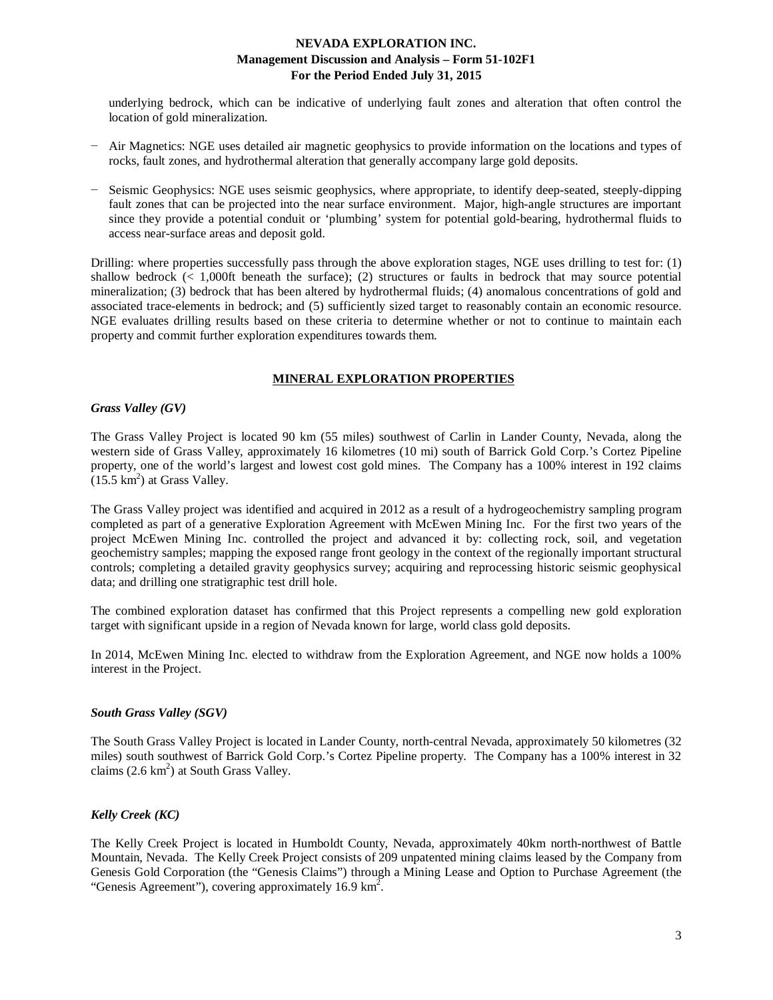underlying bedrock, which can be indicative of underlying fault zones and alteration that often control the location of gold mineralization.

- − Air Magnetics: NGE uses detailed air magnetic geophysics to provide information on the locations and types of rocks, fault zones, and hydrothermal alteration that generally accompany large gold deposits.
- − Seismic Geophysics: NGE uses seismic geophysics, where appropriate, to identify deep-seated, steeply-dipping fault zones that can be projected into the near surface environment. Major, high-angle structures are important since they provide a potential conduit or 'plumbing' system for potential gold-bearing, hydrothermal fluids to access near-surface areas and deposit gold.

Drilling: where properties successfully pass through the above exploration stages, NGE uses drilling to test for: (1) shallow bedrock (< 1,000ft beneath the surface); (2) structures or faults in bedrock that may source potential mineralization; (3) bedrock that has been altered by hydrothermal fluids; (4) anomalous concentrations of gold and associated trace-elements in bedrock; and (5) sufficiently sized target to reasonably contain an economic resource. NGE evaluates drilling results based on these criteria to determine whether or not to continue to maintain each property and commit further exploration expenditures towards them.

## **MINERAL EXPLORATION PROPERTIES**

### *Grass Valley (GV)*

The Grass Valley Project is located 90 km (55 miles) southwest of Carlin in Lander County, Nevada, along the western side of Grass Valley, approximately 16 kilometres (10 mi) south of Barrick Gold Corp.'s Cortez Pipeline property, one of the world's largest and lowest cost gold mines. The Company has a 100% interest in 192 claims  $(15.5 \text{ km}^2)$  at Grass Valley.

The Grass Valley project was identified and acquired in 2012 as a result of a hydrogeochemistry sampling program completed as part of a generative Exploration Agreement with McEwen Mining Inc. For the first two years of the project McEwen Mining Inc. controlled the project and advanced it by: collecting rock, soil, and vegetation geochemistry samples; mapping the exposed range front geology in the context of the regionally important structural controls; completing a detailed gravity geophysics survey; acquiring and reprocessing historic seismic geophysical data; and drilling one stratigraphic test drill hole.

The combined exploration dataset has confirmed that this Project represents a compelling new gold exploration target with significant upside in a region of Nevada known for large, world class gold deposits.

In 2014, McEwen Mining Inc. elected to withdraw from the Exploration Agreement, and NGE now holds a 100% interest in the Project.

## *South Grass Valley (SGV)*

The South Grass Valley Project is located in Lander County, north-central Nevada, approximately 50 kilometres (32 miles) south southwest of Barrick Gold Corp.'s Cortez Pipeline property. The Company has a 100% interest in 32 claims  $(2.6 \text{ km}^2)$  at South Grass Valley.

## *Kelly Creek (KC)*

The Kelly Creek Project is located in Humboldt County, Nevada, approximately 40km north-northwest of Battle Mountain, Nevada. The Kelly Creek Project consists of 209 unpatented mining claims leased by the Company from Genesis Gold Corporation (the "Genesis Claims") through a Mining Lease and Option to Purchase Agreement (the "Genesis Agreement"), covering approximately 16.9  $\text{km}^2$ .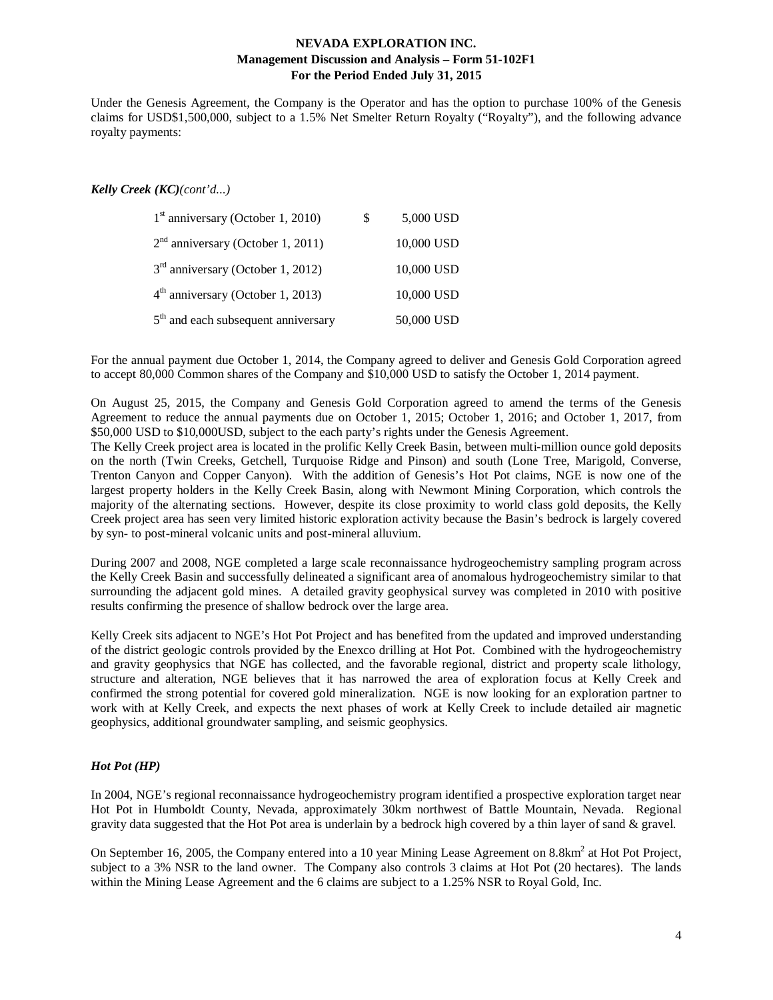Under the Genesis Agreement, the Company is the Operator and has the option to purchase 100% of the Genesis claims for USD\$1,500,000, subject to a 1.5% Net Smelter Return Royalty ("Royalty"), and the following advance royalty payments:

### *Kelly Creek (KC)(cont'd...)*

| $1st$ anniversary (October 1, 2010)   | \$<br>5,000 USD |
|---------------------------------------|-----------------|
| $2nd$ anniversary (October 1, 2011)   | 10,000 USD      |
| $3rd$ anniversary (October 1, 2012)   | 10,000 USD      |
| $4th$ anniversary (October 1, 2013)   | 10,000 USD      |
| $5th$ and each subsequent anniversary | 50,000 USD      |

For the annual payment due October 1, 2014, the Company agreed to deliver and Genesis Gold Corporation agreed to accept 80,000 Common shares of the Company and \$10,000 USD to satisfy the October 1, 2014 payment.

On August 25, 2015, the Company and Genesis Gold Corporation agreed to amend the terms of the Genesis Agreement to reduce the annual payments due on October 1, 2015; October 1, 2016; and October 1, 2017, from \$50,000 USD to \$10,000USD, subject to the each party's rights under the Genesis Agreement.

The Kelly Creek project area is located in the prolific Kelly Creek Basin, between multi-million ounce gold deposits on the north (Twin Creeks, Getchell, Turquoise Ridge and Pinson) and south (Lone Tree, Marigold, Converse, Trenton Canyon and Copper Canyon). With the addition of Genesis's Hot Pot claims, NGE is now one of the largest property holders in the Kelly Creek Basin, along with Newmont Mining Corporation, which controls the majority of the alternating sections. However, despite its close proximity to world class gold deposits, the Kelly Creek project area has seen very limited historic exploration activity because the Basin's bedrock is largely covered by syn- to post-mineral volcanic units and post-mineral alluvium.

During 2007 and 2008, NGE completed a large scale reconnaissance hydrogeochemistry sampling program across the Kelly Creek Basin and successfully delineated a significant area of anomalous hydrogeochemistry similar to that surrounding the adjacent gold mines. A detailed gravity geophysical survey was completed in 2010 with positive results confirming the presence of shallow bedrock over the large area.

Kelly Creek sits adjacent to NGE's Hot Pot Project and has benefited from the updated and improved understanding of the district geologic controls provided by the Enexco drilling at Hot Pot. Combined with the hydrogeochemistry and gravity geophysics that NGE has collected, and the favorable regional, district and property scale lithology, structure and alteration, NGE believes that it has narrowed the area of exploration focus at Kelly Creek and confirmed the strong potential for covered gold mineralization. NGE is now looking for an exploration partner to work with at Kelly Creek, and expects the next phases of work at Kelly Creek to include detailed air magnetic geophysics, additional groundwater sampling, and seismic geophysics.

#### *Hot Pot (HP)*

In 2004, NGE's regional reconnaissance hydrogeochemistry program identified a prospective exploration target near Hot Pot in Humboldt County, Nevada, approximately 30km northwest of Battle Mountain, Nevada. Regional gravity data suggested that the Hot Pot area is underlain by a bedrock high covered by a thin layer of sand & gravel.

On September 16, 2005, the Company entered into a 10 year Mining Lease Agreement on  $8.8 \text{km}^2$  at Hot Project, subject to a 3% NSR to the land owner. The Company also controls 3 claims at Hot Pot (20 hectares). The lands within the Mining Lease Agreement and the 6 claims are subject to a 1.25% NSR to Royal Gold, Inc.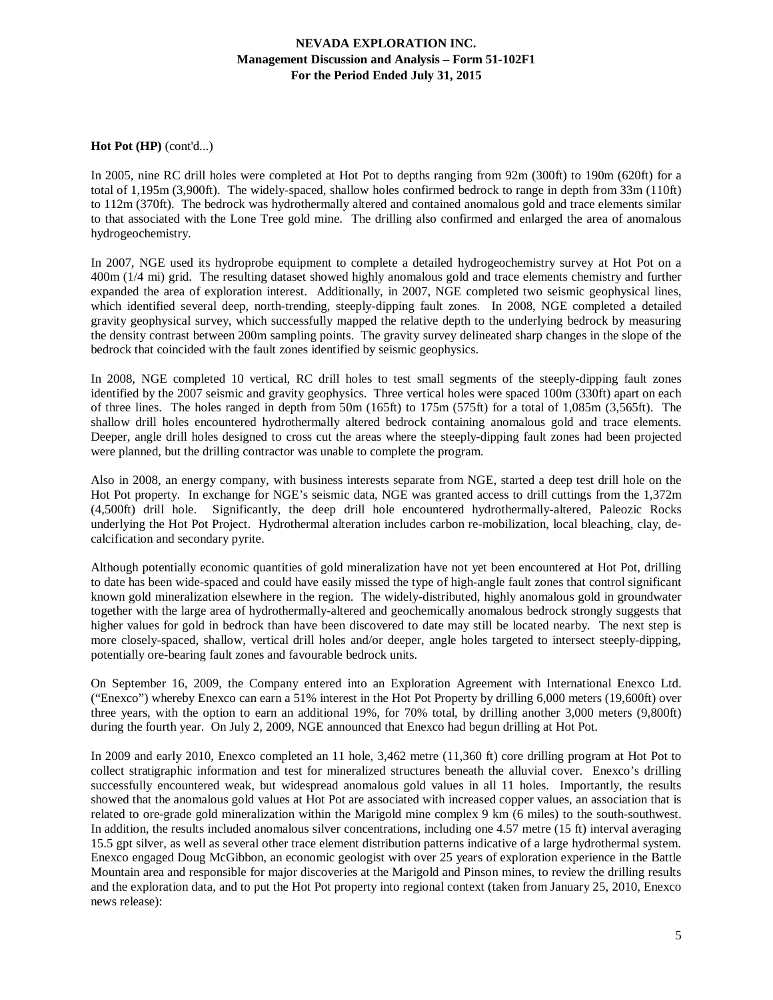## **Hot Pot (HP)** (cont'd...)

In 2005, nine RC drill holes were completed at Hot Pot to depths ranging from 92m (300ft) to 190m (620ft) for a total of 1,195m (3,900ft). The widely-spaced, shallow holes confirmed bedrock to range in depth from 33m (110ft) to 112m (370ft). The bedrock was hydrothermally altered and contained anomalous gold and trace elements similar to that associated with the Lone Tree gold mine. The drilling also confirmed and enlarged the area of anomalous hydrogeochemistry.

In 2007, NGE used its hydroprobe equipment to complete a detailed hydrogeochemistry survey at Hot Pot on a 400m (1/4 mi) grid. The resulting dataset showed highly anomalous gold and trace elements chemistry and further expanded the area of exploration interest. Additionally, in 2007, NGE completed two seismic geophysical lines, which identified several deep, north-trending, steeply-dipping fault zones. In 2008, NGE completed a detailed gravity geophysical survey, which successfully mapped the relative depth to the underlying bedrock by measuring the density contrast between 200m sampling points. The gravity survey delineated sharp changes in the slope of the bedrock that coincided with the fault zones identified by seismic geophysics.

In 2008, NGE completed 10 vertical, RC drill holes to test small segments of the steeply-dipping fault zones identified by the 2007 seismic and gravity geophysics. Three vertical holes were spaced 100m (330ft) apart on each of three lines. The holes ranged in depth from 50m (165ft) to 175m (575ft) for a total of 1,085m (3,565ft). The shallow drill holes encountered hydrothermally altered bedrock containing anomalous gold and trace elements. Deeper, angle drill holes designed to cross cut the areas where the steeply-dipping fault zones had been projected were planned, but the drilling contractor was unable to complete the program.

Also in 2008, an energy company, with business interests separate from NGE, started a deep test drill hole on the Hot Pot property. In exchange for NGE's seismic data, NGE was granted access to drill cuttings from the 1,372m (4,500ft) drill hole. Significantly, the deep drill hole encountered hydrothermally-altered, Paleozic Rocks underlying the Hot Pot Project. Hydrothermal alteration includes carbon re-mobilization, local bleaching, clay, decalcification and secondary pyrite.

Although potentially economic quantities of gold mineralization have not yet been encountered at Hot Pot, drilling to date has been wide-spaced and could have easily missed the type of high-angle fault zones that control significant known gold mineralization elsewhere in the region. The widely-distributed, highly anomalous gold in groundwater together with the large area of hydrothermally-altered and geochemically anomalous bedrock strongly suggests that higher values for gold in bedrock than have been discovered to date may still be located nearby. The next step is more closely-spaced, shallow, vertical drill holes and/or deeper, angle holes targeted to intersect steeply-dipping, potentially ore-bearing fault zones and favourable bedrock units.

On September 16, 2009, the Company entered into an Exploration Agreement with International Enexco Ltd. ("Enexco") whereby Enexco can earn a 51% interest in the Hot Pot Property by drilling 6,000 meters (19,600ft) over three years, with the option to earn an additional 19%, for 70% total, by drilling another 3,000 meters (9,800ft) during the fourth year. On July 2, 2009, NGE announced that Enexco had begun drilling at Hot Pot.

In 2009 and early 2010, Enexco completed an 11 hole, 3,462 metre (11,360 ft) core drilling program at Hot Pot to collect stratigraphic information and test for mineralized structures beneath the alluvial cover. Enexco's drilling successfully encountered weak, but widespread anomalous gold values in all 11 holes. Importantly, the results showed that the anomalous gold values at Hot Pot are associated with increased copper values, an association that is related to ore-grade gold mineralization within the Marigold mine complex 9 km (6 miles) to the south-southwest. In addition, the results included anomalous silver concentrations, including one  $4.57$  metre (15 ft) interval averaging 15.5 gpt silver, as well as several other trace element distribution patterns indicative of a large hydrothermal system. Enexco engaged Doug McGibbon, an economic geologist with over 25 years of exploration experience in the Battle Mountain area and responsible for major discoveries at the Marigold and Pinson mines, to review the drilling results and the exploration data, and to put the Hot Pot property into regional context (taken from January 25, 2010, Enexco news release):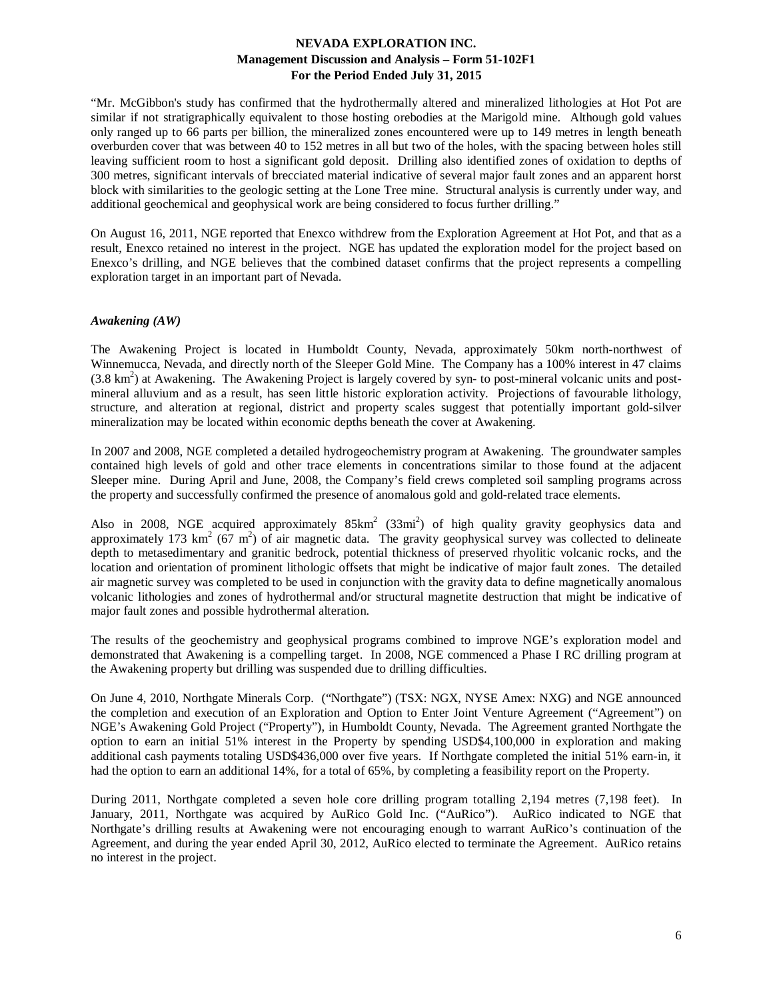"Mr. McGibbon's study has confirmed that the hydrothermally altered and mineralized lithologies at Hot Pot are similar if not stratigraphically equivalent to those hosting orebodies at the Marigold mine. Although gold values only ranged up to 66 parts per billion, the mineralized zones encountered were up to 149 metres in length beneath overburden cover that was between 40 to 152 metres in all but two of the holes, with the spacing between holes still leaving sufficient room to host a significant gold deposit. Drilling also identified zones of oxidation to depths of 300 metres, significant intervals of brecciated material indicative of several major fault zones and an apparent horst block with similarities to the geologic setting at the Lone Tree mine. Structural analysis is currently under way, and additional geochemical and geophysical work are being considered to focus further drilling."

On August 16, 2011, NGE reported that Enexco withdrew from the Exploration Agreement at Hot Pot, and that as a result, Enexco retained no interest in the project. NGE has updated the exploration model for the project based on Enexco's drilling, and NGE believes that the combined dataset confirms that the project represents a compelling exploration target in an important part of Nevada.

### *Awakening (AW)*

The Awakening Project is located in Humboldt County, Nevada, approximately 50km north-northwest of Winnemucca, Nevada, and directly north of the Sleeper Gold Mine. The Company has a 100% interest in 47 claims  $(3.8 \text{ km}^2)$  at Awakening. The Awakening Project is largely covered by syn- to post-mineral volcanic units and postmineral alluvium and as a result, has seen little historic exploration activity. Projections of favourable lithology, structure, and alteration at regional, district and property scales suggest that potentially important gold-silver mineralization may be located within economic depths beneath the cover at Awakening.

In 2007 and 2008, NGE completed a detailed hydrogeochemistry program at Awakening. The groundwater samples contained high levels of gold and other trace elements in concentrations similar to those found at the adjacent Sleeper mine. During April and June, 2008, the Company's field crews completed soil sampling programs across the property and successfully confirmed the presence of anomalous gold and gold-related trace elements.

Also in 2008, NGE acquired approximately  $85 \text{km}^2$  (33mi<sup>2</sup>) of high quality gravity geophysics data and approximately 173 km<sup>2</sup> (67 m<sup>2</sup>) of air magnetic data. The gravity geophysical survey was collected to delineate depth to metasedimentary and granitic bedrock, potential thickness of preserved rhyolitic volcanic rocks, and the location and orientation of prominent lithologic offsets that might be indicative of major fault zones. The detailed air magnetic survey was completed to be used in conjunction with the gravity data to define magnetically anomalous volcanic lithologies and zones of hydrothermal and/or structural magnetite destruction that might be indicative of major fault zones and possible hydrothermal alteration.

The results of the geochemistry and geophysical programs combined to improve NGE's exploration model and demonstrated that Awakening is a compelling target. In 2008, NGE commenced a Phase I RC drilling program at the Awakening property but drilling was suspended due to drilling difficulties.

On June 4, 2010, Northgate Minerals Corp. ("Northgate") (TSX: NGX, NYSE Amex: NXG) and NGE announced the completion and execution of an Exploration and Option to Enter Joint Venture Agreement ("Agreement") on NGE's Awakening Gold Project ("Property"), in Humboldt County, Nevada. The Agreement granted Northgate the option to earn an initial 51% interest in the Property by spending USD\$4,100,000 in exploration and making additional cash payments totaling USD\$436,000 over five years. If Northgate completed the initial 51% earn-in, it had the option to earn an additional 14%, for a total of 65%, by completing a feasibility report on the Property.

During 2011, Northgate completed a seven hole core drilling program totalling 2,194 metres (7,198 feet). In January, 2011, Northgate was acquired by AuRico Gold Inc. ("AuRico"). AuRico indicated to NGE that Northgate's drilling results at Awakening were not encouraging enough to warrant AuRico's continuation of the Agreement, and during the year ended April 30, 2012, AuRico elected to terminate the Agreement. AuRico retains no interest in the project.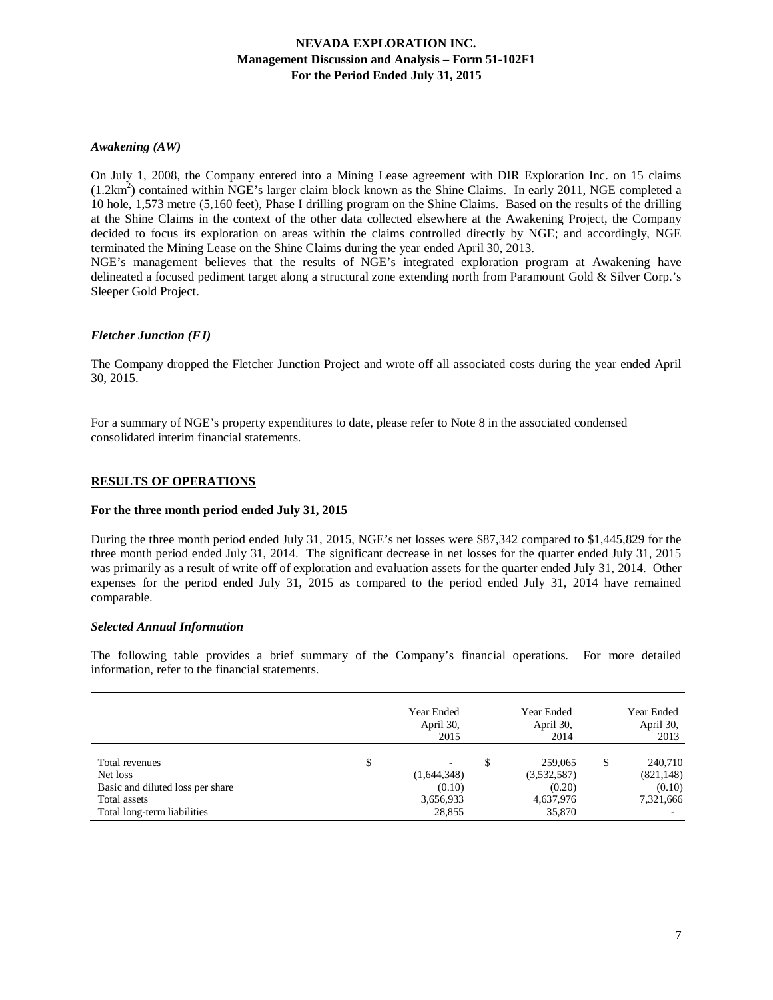## *Awakening (AW)*

On July 1, 2008, the Company entered into a Mining Lease agreement with DIR Exploration Inc. on 15 claims  $(1.2km<sup>2</sup>)$  contained within NGE's larger claim block known as the Shine Claims. In early 2011, NGE completed a 10 hole, 1,573 metre (5,160 feet), Phase I drilling program on the Shine Claims. Based on the results of the drilling at the Shine Claims in the context of the other data collected elsewhere at the Awakening Project, the Company decided to focus its exploration on areas within the claims controlled directly by NGE; and accordingly, NGE terminated the Mining Lease on the Shine Claims during the year ended April 30, 2013.

NGE's management believes that the results of NGE's integrated exploration program at Awakening have delineated a focused pediment target along a structural zone extending north from Paramount Gold & Silver Corp.'s Sleeper Gold Project.

### *Fletcher Junction (FJ)*

The Company dropped the Fletcher Junction Project and wrote off all associated costs during the year ended April 30, 2015.

For a summary of NGE's property expenditures to date, please refer to Note 8 in the associated condensed consolidated interim financial statements.

### **RESULTS OF OPERATIONS**

#### **For the three month period ended July 31, 2015**

During the three month period ended July 31, 2015, NGE's net losses were \$87,342 compared to \$1,445,829 for the three month period ended July 31, 2014. The significant decrease in net losses for the quarter ended July 31, 2015 was primarily as a result of write off of exploration and evaluation assets for the quarter ended July 31, 2014. Other expenses for the period ended July 31, 2015 as compared to the period ended July 31, 2014 have remained comparable.

#### *Selected Annual Information*

The following table provides a brief summary of the Company's financial operations. For more detailed information, refer to the financial statements.

|                                  | Year Ended<br>April 30,<br>2015 | Year Ended<br>April 30,<br>2014 | Year Ended<br>April 30,<br>2013 |
|----------------------------------|---------------------------------|---------------------------------|---------------------------------|
| Total revenues                   | \$<br>-                         | \$<br>259,065                   | 240,710                         |
| Net loss                         | (1,644,348)                     | (3,532,587)                     | (821, 148)                      |
| Basic and diluted loss per share | (0.10)                          | (0.20)                          | (0.10)                          |
| Total assets                     | 3,656,933                       | 4,637,976                       | 7,321,666                       |
| Total long-term liabilities      | 28,855                          | 35,870                          |                                 |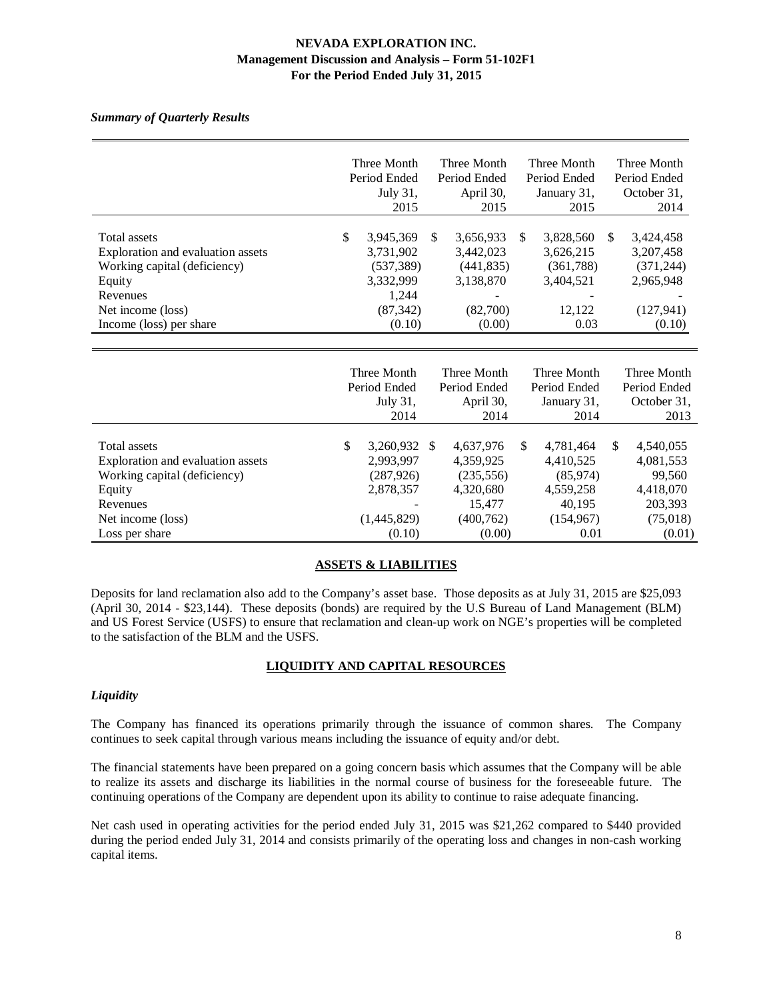# *Summary of Quarterly Results*

|                                                                                                                                                         | Three Month<br>Period Ended<br>July 31,<br>2015                                         | Three Month<br>Period Ended<br>April 30,<br>2015                              |     | Three Month<br>Period Ended<br>January 31,<br>2015                 |     | Three Month<br>Period Ended<br>October 31,<br>2014                        |
|---------------------------------------------------------------------------------------------------------------------------------------------------------|-----------------------------------------------------------------------------------------|-------------------------------------------------------------------------------|-----|--------------------------------------------------------------------|-----|---------------------------------------------------------------------------|
| Total assets<br>Exploration and evaluation assets<br>Working capital (deficiency)<br>Equity<br>Revenues<br>Net income (loss)<br>Income (loss) per share | \$<br>3,945,369<br>3,731,902<br>(537, 389)<br>3,332,999<br>1,244<br>(87, 342)<br>(0.10) | \$<br>3,656,933<br>3,442,023<br>(441, 835)<br>3,138,870<br>(82,700)<br>(0.00) | \$  | 3,828,560<br>3,626,215<br>(361,788)<br>3,404,521<br>12,122<br>0.03 | \$. | 3,424,458<br>3,207,458<br>(371, 244)<br>2,965,948<br>(127, 941)<br>(0.10) |
|                                                                                                                                                         | Three Month<br>Period Ended<br>July 31,<br>2014                                         | Three Month<br>Period Ended<br>April 30,<br>2014                              |     | Three Month<br>Period Ended<br>January 31,<br>2014                 |     | Three Month<br>Period Ended<br>October 31,<br>2013                        |
| <b>Total assets</b><br>Exploration and evaluation assets                                                                                                | \$<br>3,260,932 \$<br>2,993,997                                                         | 4,637,976<br>4,359,925                                                        | \$. | 4,781,464<br>4,410,525                                             | \$. | 4,540,055<br>4,081,553                                                    |

|                                   | $201 +$      | $201 +$    | 2014       | 20 I J    |
|-----------------------------------|--------------|------------|------------|-----------|
|                                   |              |            |            |           |
| Total assets                      | 3,260,932 \$ | 4,637,976  | 4.781.464  | 4,540,055 |
| Exploration and evaluation assets | 2,993,997    | 4,359,925  | 4,410,525  | 4,081,553 |
| Working capital (deficiency)      | (287, 926)   | (235, 556) | (85,974)   | 99,560    |
| Equity                            | 2,878,357    | 4,320,680  | 4,559,258  | 4,418,070 |
| Revenues                          |              | 15.477     | 40.195     | 203,393   |
| Net income (loss)                 | (1,445,829)  | (400, 762) | (154, 967) | (75,018)  |
| Loss per share                    | (0.10)       | (0.00)     | 0.01       | (0.01)    |

# **ASSETS & LIABILITIES**

Deposits for land reclamation also add to the Company's asset base. Those deposits as at July 31, 2015 are \$25,093 (April 30, 2014 - \$23,144). These deposits (bonds) are required by the U.S Bureau of Land Management (BLM) and US Forest Service (USFS) to ensure that reclamation and clean-up work on NGE's properties will be completed to the satisfaction of the BLM and the USFS.

# **LIQUIDITY AND CAPITAL RESOURCES**

## *Liquidity*

The Company has financed its operations primarily through the issuance of common shares. The Company continues to seek capital through various means including the issuance of equity and/or debt.

The financial statements have been prepared on a going concern basis which assumes that the Company will be able to realize its assets and discharge its liabilities in the normal course of business for the foreseeable future. The continuing operations of the Company are dependent upon its ability to continue to raise adequate financing.

Net cash used in operating activities for the period ended July 31, 2015 was \$21,262 compared to \$440 provided during the period ended July 31, 2014 and consists primarily of the operating loss and changes in non-cash working capital items.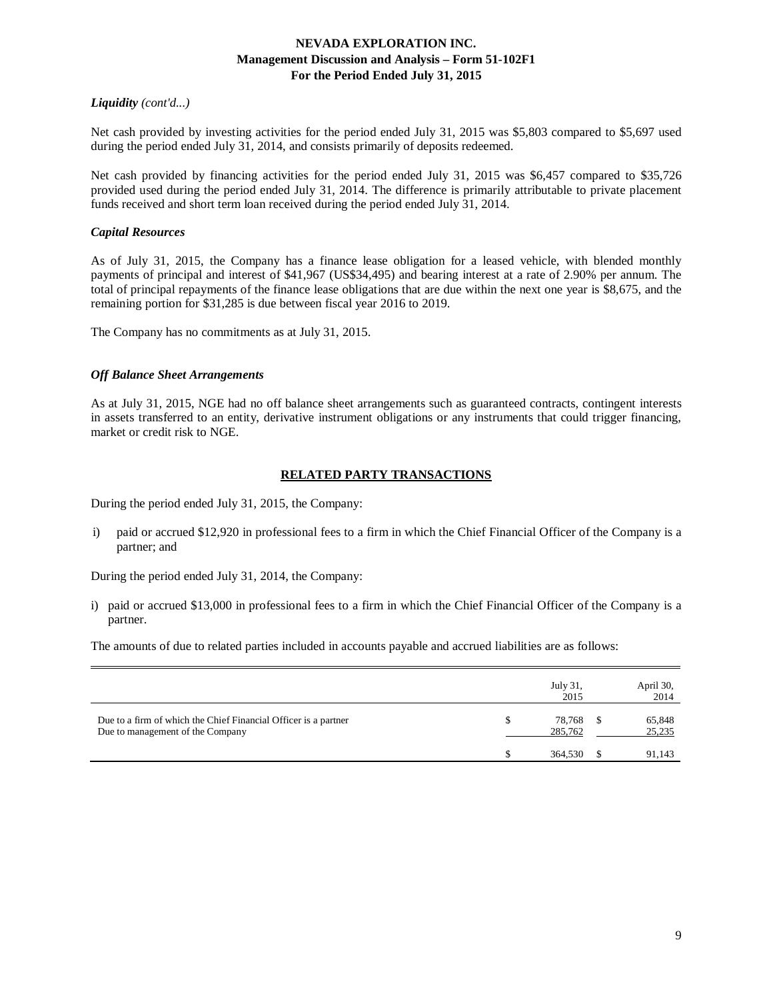# *Liquidity (cont'd...)*

Net cash provided by investing activities for the period ended July 31, 2015 was \$5,803 compared to \$5,697 used during the period ended July 31, 2014, and consists primarily of deposits redeemed.

Net cash provided by financing activities for the period ended July 31, 2015 was \$6,457 compared to \$35,726 provided used during the period ended July 31, 2014. The difference is primarily attributable to private placement funds received and short term loan received during the period ended July 31, 2014.

# *Capital Resources*

As of July 31, 2015, the Company has a finance lease obligation for a leased vehicle, with blended monthly payments of principal and interest of \$41,967 (US\$34,495) and bearing interest at a rate of 2.90% per annum. The total of principal repayments of the finance lease obligations that are due within the next one year is \$8,675, and the remaining portion for \$31,285 is due between fiscal year 2016 to 2019.

The Company has no commitments as at July 31, 2015.

## *Off Balance Sheet Arrangements*

As at July 31, 2015, NGE had no off balance sheet arrangements such as guaranteed contracts, contingent interests in assets transferred to an entity, derivative instrument obligations or any instruments that could trigger financing, market or credit risk to NGE.

# **RELATED PARTY TRANSACTIONS**

During the period ended July 31, 2015, the Company:

i) paid or accrued \$12,920 in professional fees to a firm in which the Chief Financial Officer of the Company is a partner; and

During the period ended July 31, 2014, the Company:

i) paid or accrued \$13,000 in professional fees to a firm in which the Chief Financial Officer of the Company is a partner.

The amounts of due to related parties included in accounts payable and accrued liabilities are as follows:

|                                                                                                     | July 31.<br>2015  | April 30,<br>2014 |
|-----------------------------------------------------------------------------------------------------|-------------------|-------------------|
| Due to a firm of which the Chief Financial Officer is a partner<br>Due to management of the Company | 78.768<br>285,762 | 65,848<br>25,235  |
|                                                                                                     | 364,530           | 91,143            |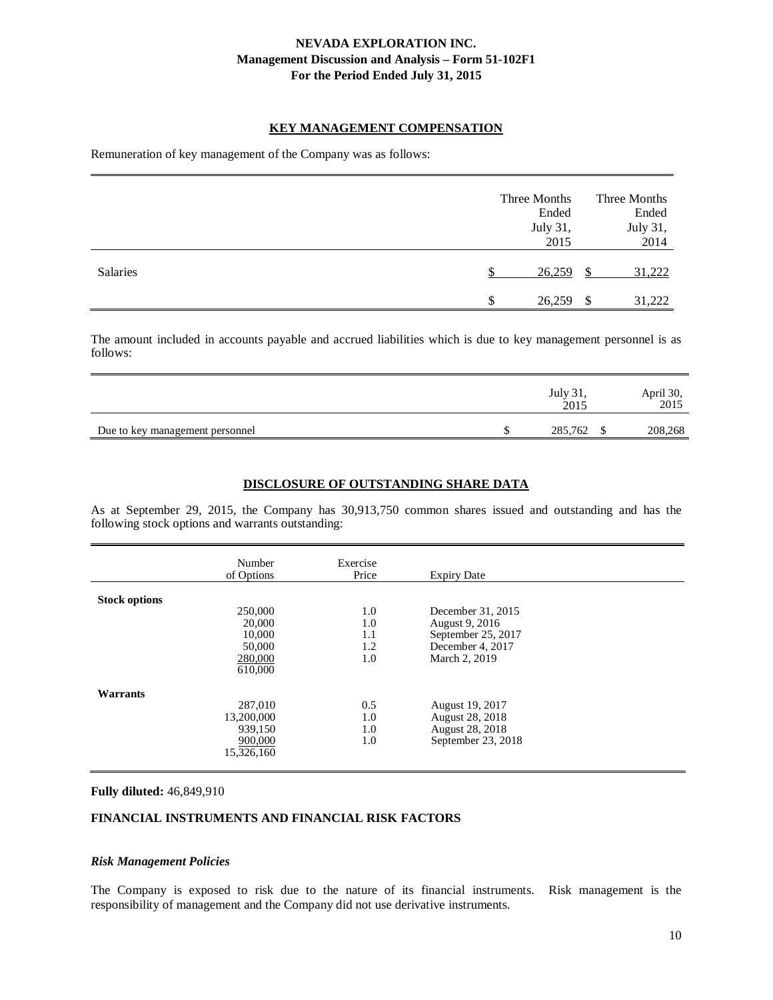### **KEY MANAGEMENT COMPENSATION**

Remuneration of key management of the Company was as follows:

|          | Three Months<br>Ended<br>July 31,<br>2015 |    | Three Months<br>Ended<br>July 31,<br>2014 |
|----------|-------------------------------------------|----|-------------------------------------------|
| Salaries | 26,259                                    | S  | 31,222                                    |
|          | \$<br>26,259                              | -S | 31,222                                    |

The amount included in accounts payable and accrued liabilities which is due to key management personnel is as follows:

|                                 | July 31,<br>2015 | April 30,<br>2015 |
|---------------------------------|------------------|-------------------|
| Due to key management personnel | 285,762          | 208,268           |

### **DISCLOSURE OF OUTSTANDING SHARE DATA**

As at September 29, 2015, the Company has 30,913,750 common shares issued and outstanding and has the following stock options and warrants outstanding:

|                      | Number<br>of Options                                        | Exercise<br>Price               | <b>Expiry Date</b>                                                                             |  |
|----------------------|-------------------------------------------------------------|---------------------------------|------------------------------------------------------------------------------------------------|--|
| <b>Stock options</b> | 250,000<br>20,000<br>10,000<br>50,000<br>280,000<br>610,000 | 1.0<br>1.0<br>1.1<br>1.2<br>1.0 | December 31, 2015<br>August 9, 2016<br>September 25, 2017<br>December 4, 2017<br>March 2, 2019 |  |
| Warrants             | 287,010<br>13,200,000<br>939,150<br>900,000<br>15,326,160   | 0.5<br>1.0<br>1.0<br>1.0        | August 19, 2017<br>August 28, 2018<br><b>August 28, 2018</b><br>September 23, 2018             |  |

#### **Fully diluted:** 46,849,910

## **FINANCIAL INSTRUMENTS AND FINANCIAL RISK FACTORS**

#### *Risk Management Policies*

The Company is exposed to risk due to the nature of its financial instruments. Risk management is the responsibility of management and the Company did not use derivative instruments.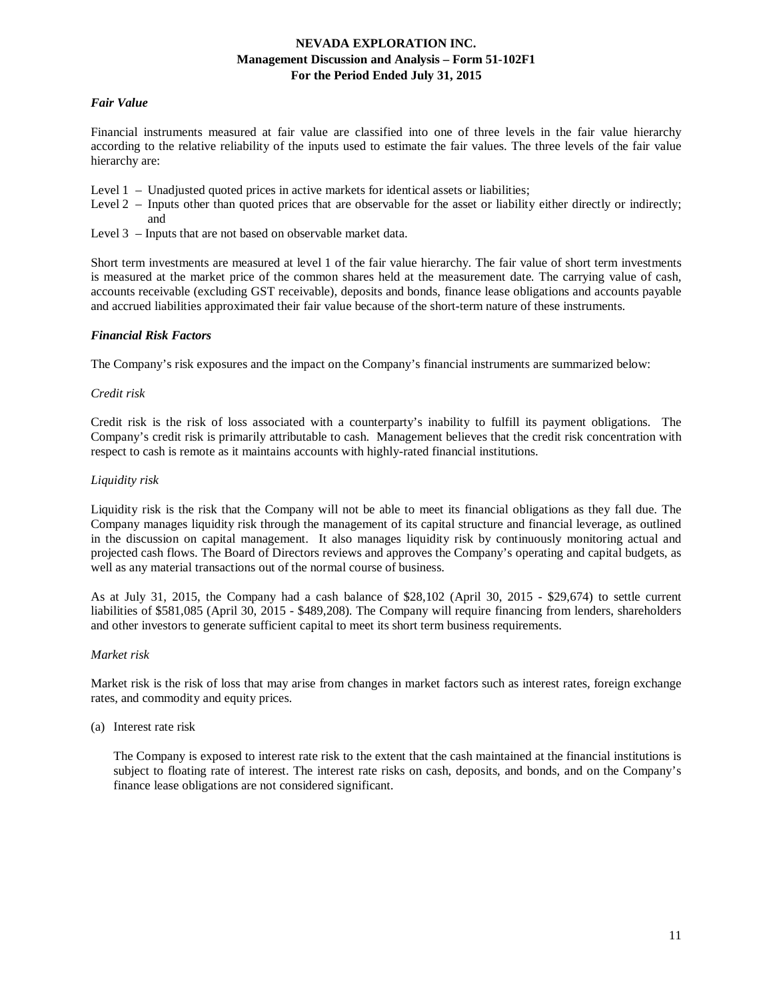## *Fair Value*

Financial instruments measured at fair value are classified into one of three levels in the fair value hierarchy according to the relative reliability of the inputs used to estimate the fair values. The three levels of the fair value hierarchy are:

- Level  $1 -$  Unadjusted quoted prices in active markets for identical assets or liabilities;
- Level 2 Inputs other than quoted prices that are observable for the asset or liability either directly or indirectly; and
- Level 3 Inputs that are not based on observable market data.

Short term investments are measured at level 1 of the fair value hierarchy. The fair value of short term investments is measured at the market price of the common shares held at the measurement date. The carrying value of cash, accounts receivable (excluding GST receivable), deposits and bonds, finance lease obligations and accounts payable and accrued liabilities approximated their fair value because of the short-term nature of these instruments.

### *Financial Risk Factors*

The Company's risk exposures and the impact on the Company's financial instruments are summarized below:

### *Credit risk*

Credit risk is the risk of loss associated with a counterparty's inability to fulfill its payment obligations. The Company's credit risk is primarily attributable to cash. Management believes that the credit risk concentration with respect to cash is remote as it maintains accounts with highly-rated financial institutions.

### *Liquidity risk*

Liquidity risk is the risk that the Company will not be able to meet its financial obligations as they fall due. The Company manages liquidity risk through the management of its capital structure and financial leverage, as outlined in the discussion on capital management. It also manages liquidity risk by continuously monitoring actual and projected cash flows. The Board of Directors reviews and approves the Company's operating and capital budgets, as well as any material transactions out of the normal course of business.

As at July 31, 2015, the Company had a cash balance of \$28,102 (April 30, 2015 - \$29,674) to settle current liabilities of \$581,085 (April 30, 2015 - \$489,208). The Company will require financing from lenders, shareholders and other investors to generate sufficient capital to meet its short term business requirements.

#### *Market risk*

Market risk is the risk of loss that may arise from changes in market factors such as interest rates, foreign exchange rates, and commodity and equity prices.

#### (a) Interest rate risk

The Company is exposed to interest rate risk to the extent that the cash maintained at the financial institutions is subject to floating rate of interest. The interest rate risks on cash, deposits, and bonds, and on the Company's finance lease obligations are not considered significant.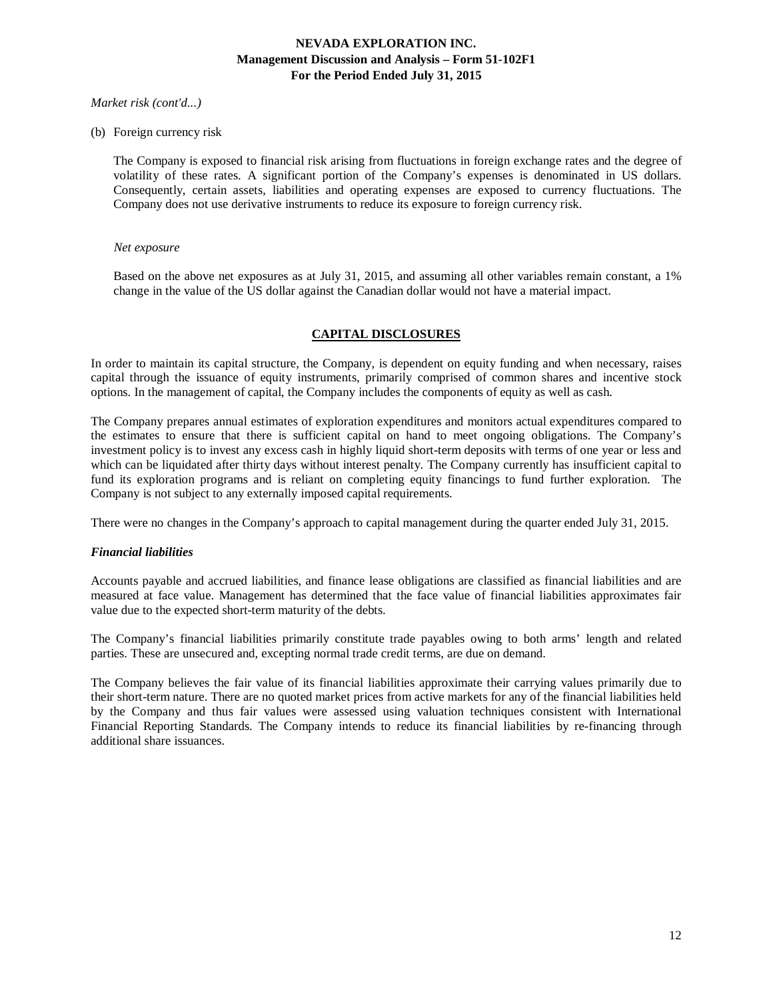### *Market risk (cont'd...)*

### (b) Foreign currency risk

The Company is exposed to financial risk arising from fluctuations in foreign exchange rates and the degree of volatility of these rates. A significant portion of the Company's expenses is denominated in US dollars. Consequently, certain assets, liabilities and operating expenses are exposed to currency fluctuations. The Company does not use derivative instruments to reduce its exposure to foreign currency risk.

#### *Net exposure*

Based on the above net exposures as at July 31, 2015, and assuming all other variables remain constant, a 1% change in the value of the US dollar against the Canadian dollar would not have a material impact.

## **CAPITAL DISCLOSURES**

In order to maintain its capital structure, the Company, is dependent on equity funding and when necessary, raises capital through the issuance of equity instruments, primarily comprised of common shares and incentive stock options. In the management of capital, the Company includes the components of equity as well as cash.

The Company prepares annual estimates of exploration expenditures and monitors actual expenditures compared to the estimates to ensure that there is sufficient capital on hand to meet ongoing obligations. The Company's investment policy is to invest any excess cash in highly liquid short-term deposits with terms of one year or less and which can be liquidated after thirty days without interest penalty. The Company currently has insufficient capital to fund its exploration programs and is reliant on completing equity financings to fund further exploration. The Company is not subject to any externally imposed capital requirements.

There were no changes in the Company's approach to capital management during the quarter ended July 31, 2015.

#### *Financial liabilities*

Accounts payable and accrued liabilities, and finance lease obligations are classified as financial liabilities and are measured at face value. Management has determined that the face value of financial liabilities approximates fair value due to the expected short-term maturity of the debts.

The Company's financial liabilities primarily constitute trade payables owing to both arms' length and related parties. These are unsecured and, excepting normal trade credit terms, are due on demand.

The Company believes the fair value of its financial liabilities approximate their carrying values primarily due to their short-term nature. There are no quoted market prices from active markets for any of the financial liabilities held by the Company and thus fair values were assessed using valuation techniques consistent with International Financial Reporting Standards. The Company intends to reduce its financial liabilities by re-financing through additional share issuances.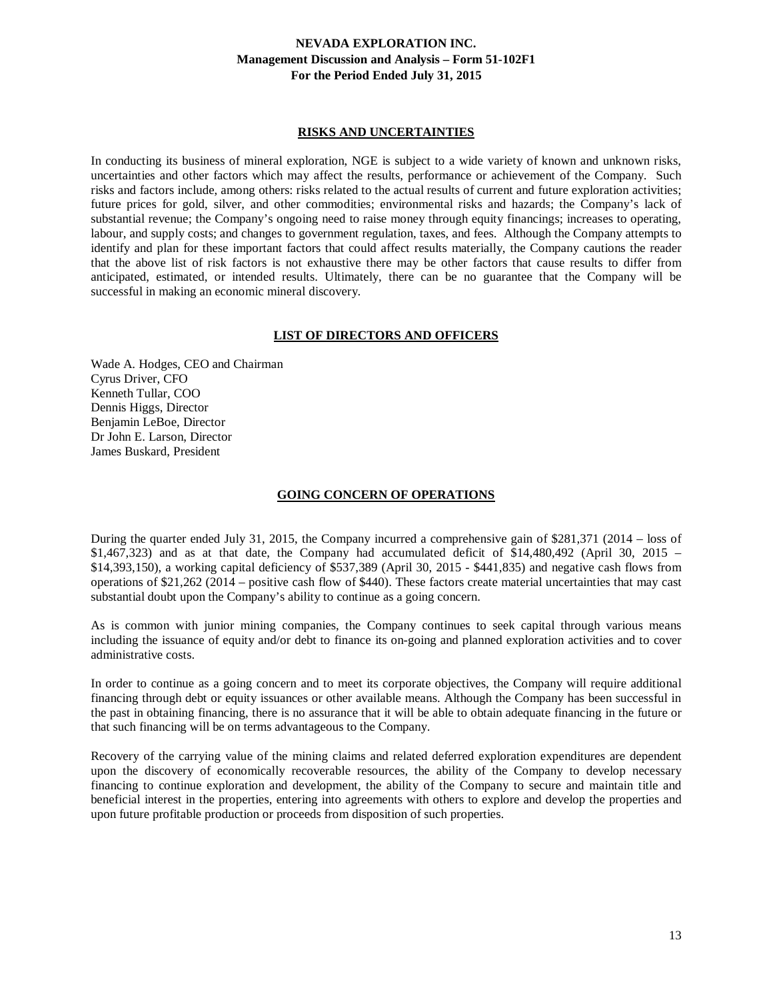### **RISKS AND UNCERTAINTIES**

In conducting its business of mineral exploration, NGE is subject to a wide variety of known and unknown risks, uncertainties and other factors which may affect the results, performance or achievement of the Company. Such risks and factors include, among others: risks related to the actual results of current and future exploration activities; future prices for gold, silver, and other commodities; environmental risks and hazards; the Company's lack of substantial revenue; the Company's ongoing need to raise money through equity financings; increases to operating, labour, and supply costs; and changes to government regulation, taxes, and fees. Although the Company attempts to identify and plan for these important factors that could affect results materially, the Company cautions the reader that the above list of risk factors is not exhaustive there may be other factors that cause results to differ from anticipated, estimated, or intended results. Ultimately, there can be no guarantee that the Company will be successful in making an economic mineral discovery.

## **LIST OF DIRECTORS AND OFFICERS**

Wade A. Hodges, CEO and Chairman Cyrus Driver, CFO Kenneth Tullar, COO Dennis Higgs, Director Benjamin LeBoe, Director Dr John E. Larson, Director James Buskard, President

### **GOING CONCERN OF OPERATIONS**

During the quarter ended July 31, 2015, the Company incurred a comprehensive gain of \$281,371 (2014 – loss of  $$1,467,323)$  and as at that date, the Company had accumulated deficit of  $$14,480,492$  (April 30, 2015 – \$14,393,150), a working capital deficiency of \$537,389 (April 30, 2015 - \$441,835) and negative cash flows from operations of \$21,262 (2014 – positive cash flow of \$440). These factors create material uncertainties that may cast substantial doubt upon the Company's ability to continue as a going concern.

As is common with junior mining companies, the Company continues to seek capital through various means including the issuance of equity and/or debt to finance its on-going and planned exploration activities and to cover administrative costs.

In order to continue as a going concern and to meet its corporate objectives, the Company will require additional financing through debt or equity issuances or other available means. Although the Company has been successful in the past in obtaining financing, there is no assurance that it will be able to obtain adequate financing in the future or that such financing will be on terms advantageous to the Company.

Recovery of the carrying value of the mining claims and related deferred exploration expenditures are dependent upon the discovery of economically recoverable resources, the ability of the Company to develop necessary financing to continue exploration and development, the ability of the Company to secure and maintain title and beneficial interest in the properties, entering into agreements with others to explore and develop the properties and upon future profitable production or proceeds from disposition of such properties.